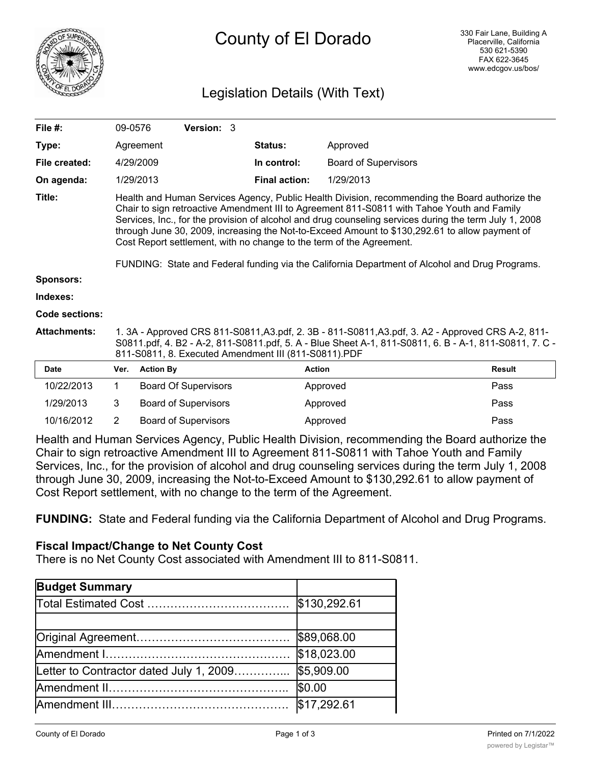

# County of El Dorado

# Legislation Details (With Text)

| File #:             |                                                                                                                                                                                                                                                                                                                                                                                                                                                                                                                                                                                    | 09-0576          | Version: 3                  |                      |                             |               |  |
|---------------------|------------------------------------------------------------------------------------------------------------------------------------------------------------------------------------------------------------------------------------------------------------------------------------------------------------------------------------------------------------------------------------------------------------------------------------------------------------------------------------------------------------------------------------------------------------------------------------|------------------|-----------------------------|----------------------|-----------------------------|---------------|--|
| Type:               |                                                                                                                                                                                                                                                                                                                                                                                                                                                                                                                                                                                    | Agreement        |                             | Status:              | Approved                    |               |  |
| File created:       |                                                                                                                                                                                                                                                                                                                                                                                                                                                                                                                                                                                    | 4/29/2009        |                             | In control:          | <b>Board of Supervisors</b> |               |  |
| On agenda:          |                                                                                                                                                                                                                                                                                                                                                                                                                                                                                                                                                                                    | 1/29/2013        |                             | <b>Final action:</b> | 1/29/2013                   |               |  |
| Title:              | Health and Human Services Agency, Public Health Division, recommending the Board authorize the<br>Chair to sign retroactive Amendment III to Agreement 811-S0811 with Tahoe Youth and Family<br>Services, Inc., for the provision of alcohol and drug counseling services during the term July 1, 2008<br>through June 30, 2009, increasing the Not-to-Exceed Amount to \$130,292.61 to allow payment of<br>Cost Report settlement, with no change to the term of the Agreement.<br>FUNDING: State and Federal funding via the California Department of Alcohol and Drug Programs. |                  |                             |                      |                             |               |  |
| <b>Sponsors:</b>    |                                                                                                                                                                                                                                                                                                                                                                                                                                                                                                                                                                                    |                  |                             |                      |                             |               |  |
| Indexes:            |                                                                                                                                                                                                                                                                                                                                                                                                                                                                                                                                                                                    |                  |                             |                      |                             |               |  |
| Code sections:      |                                                                                                                                                                                                                                                                                                                                                                                                                                                                                                                                                                                    |                  |                             |                      |                             |               |  |
| <b>Attachments:</b> | 1. 3A - Approved CRS 811-S0811, A3.pdf, 2. 3B - 811-S0811, A3.pdf, 3. A2 - Approved CRS A-2, 811-<br>S0811.pdf, 4. B2 - A-2, 811-S0811.pdf, 5. A - Blue Sheet A-1, 811-S0811, 6. B - A-1, 811-S0811, 7. C -<br>811-S0811, 8. Executed Amendment III (811-S0811).PDF                                                                                                                                                                                                                                                                                                                |                  |                             |                      |                             |               |  |
| <b>Date</b>         | Ver.                                                                                                                                                                                                                                                                                                                                                                                                                                                                                                                                                                               | <b>Action By</b> |                             |                      | <b>Action</b>               | <b>Result</b> |  |
| 10/22/2013          | 1                                                                                                                                                                                                                                                                                                                                                                                                                                                                                                                                                                                  |                  | <b>Board Of Supervisors</b> |                      | Approved                    | Pass          |  |
| 1/29/2013           | 3                                                                                                                                                                                                                                                                                                                                                                                                                                                                                                                                                                                  |                  | <b>Board of Supervisors</b> |                      | Approved                    | Pass          |  |
| 10/16/2012          | 2                                                                                                                                                                                                                                                                                                                                                                                                                                                                                                                                                                                  |                  | <b>Board of Supervisors</b> |                      | Approved                    | Pass          |  |

Health and Human Services Agency, Public Health Division, recommending the Board authorize the Chair to sign retroactive Amendment III to Agreement 811-S0811 with Tahoe Youth and Family Services, Inc., for the provision of alcohol and drug counseling services during the term July 1, 2008 through June 30, 2009, increasing the Not-to-Exceed Amount to \$130,292.61 to allow payment of Cost Report settlement, with no change to the term of the Agreement.

**FUNDING:** State and Federal funding via the California Department of Alcohol and Drug Programs.

# **Fiscal Impact/Change to Net County Cost**

There is no Net County Cost associated with Amendment III to 811-S0811.

| <b>Budget Summary</b>                   |              |
|-----------------------------------------|--------------|
|                                         | \$130,292.61 |
|                                         |              |
|                                         | \$89,068.00  |
|                                         | \$18,023.00  |
| Letter to Contractor dated July 1, 2009 | \$5,909.00   |
|                                         | \$0.00       |
|                                         | \$17,292.61  |

Total Funding  $\mathcal{A}_\mathcal{A}$  and  $\mathcal{A}_\mathcal{A}$  are  $\mathcal{A}_\mathcal{A}$  . Then  $\mathcal{A}_\mathcal{A}$  are  $\mathcal{A}_\mathcal{A}$  and  $\mathcal{A}_\mathcal{A}$  are  $\mathcal{A}_\mathcal{A}$  and  $\mathcal{A}_\mathcal{A}$  are  $\mathcal{A}_\mathcal{A}$  and  $\mathcal{A}_\mathcal{A}$  are  $\mathcal{A}_\mathcal{A}$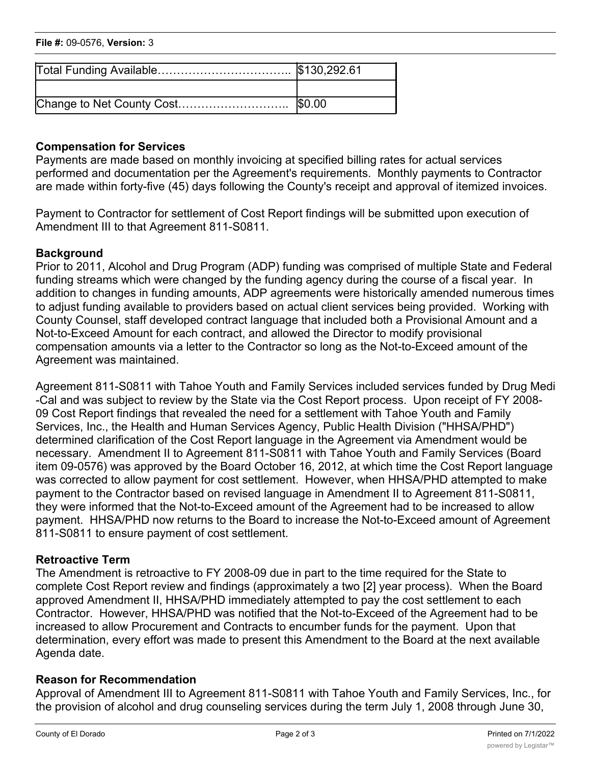| File #: 09-0576, Version: 3 |  |
|-----------------------------|--|
|                             |  |

## **Compensation for Services**

Payments are made based on monthly invoicing at specified billing rates for actual services performed and documentation per the Agreement's requirements. Monthly payments to Contractor are made within forty-five (45) days following the County's receipt and approval of itemized invoices.

Payment to Contractor for settlement of Cost Report findings will be submitted upon execution of Amendment III to that Agreement 811-S0811.

## **Background**

Prior to 2011, Alcohol and Drug Program (ADP) funding was comprised of multiple State and Federal funding streams which were changed by the funding agency during the course of a fiscal year. In addition to changes in funding amounts, ADP agreements were historically amended numerous times to adjust funding available to providers based on actual client services being provided. Working with County Counsel, staff developed contract language that included both a Provisional Amount and a Not-to-Exceed Amount for each contract, and allowed the Director to modify provisional compensation amounts via a letter to the Contractor so long as the Not-to-Exceed amount of the Agreement was maintained.

Agreement 811-S0811 with Tahoe Youth and Family Services included services funded by Drug Medi -Cal and was subject to review by the State via the Cost Report process. Upon receipt of FY 2008- 09 Cost Report findings that revealed the need for a settlement with Tahoe Youth and Family Services, Inc., the Health and Human Services Agency, Public Health Division ("HHSA/PHD") determined clarification of the Cost Report language in the Agreement via Amendment would be necessary. Amendment II to Agreement 811-S0811 with Tahoe Youth and Family Services (Board item 09-0576) was approved by the Board October 16, 2012, at which time the Cost Report language was corrected to allow payment for cost settlement. However, when HHSA/PHD attempted to make payment to the Contractor based on revised language in Amendment II to Agreement 811-S0811, they were informed that the Not-to-Exceed amount of the Agreement had to be increased to allow payment. HHSA/PHD now returns to the Board to increase the Not-to-Exceed amount of Agreement 811-S0811 to ensure payment of cost settlement.

# **Retroactive Term**

The Amendment is retroactive to FY 2008-09 due in part to the time required for the State to complete Cost Report review and findings (approximately a two [2] year process). When the Board approved Amendment II, HHSA/PHD immediately attempted to pay the cost settlement to each Contractor. However, HHSA/PHD was notified that the Not-to-Exceed of the Agreement had to be increased to allow Procurement and Contracts to encumber funds for the payment. Upon that determination, every effort was made to present this Amendment to the Board at the next available Agenda date.

#### **Reason for Recommendation**

Approval of Amendment III to Agreement 811-S0811 with Tahoe Youth and Family Services, Inc., for the provision of alcohol and drug counseling services during the term July 1, 2008 through June 30,